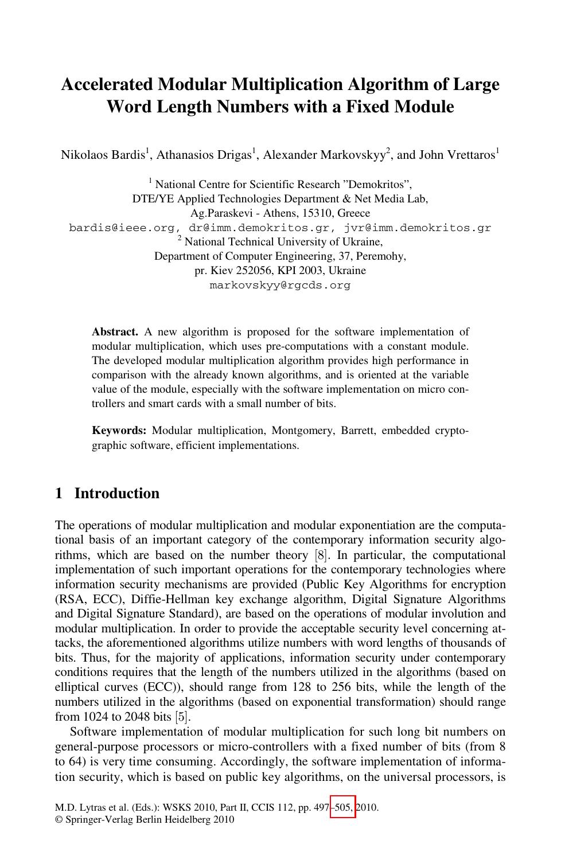# **Accelerated Modular Multiplication Algorithm of Large Word Length Numbers with a Fixed Module**

Nikolaos Bardis<sup>1</sup>, Athanasios Drigas<sup>1</sup>, Alexander Markovskyy<sup>2</sup>, and John Vrettaros<sup>1</sup>

<sup>1</sup> National Centre for Scientific Research "Demokritos", DTE/YE Applied Technologies Department & Net Media Lab, Ag.Paraskevi - Athens, 15310, Greece bardis@ieee.org, dr@imm.demokritos.gr, jvr@imm.demokritos.gr 2 National Technical University of Ukraine, Department of Computer Engineering, 37, Peremohy, pr. Kiev 252056, KPI 2003, Ukraine markovskyy@rgcds.org

**Abstract.** A new algorithm is proposed for the software implementation of modular multiplication, which uses pre-computations with a constant module. The developed modular multiplication algorithm provides high performance in comparison with the already known algorithms, and is oriented at the variable value of the module, especially with the software implementation on micro controllers and smart cards with a small number of bits.

**Keywords:** Modular multiplication, Montgomery, Barrett, embedded cryptographic software, efficient implementations.

#### **1 Introduction**

The operations of modular multiplication and modular exponentiation are the computational basis of an important category of the contemporary information security algorithms, which are based on the number theory [8]. In particular, the computational implementation of such important operations for the contemporary technologies where information security mechanisms are provided (Public Key Algorithms for encryption (RSA, ECC), Diffie-Hellman key exchange algorithm, Digital Signature Algorithms and Digital Signature Standard), are based on the operations of modular involution and modular multiplication. In order to provide the acceptable security level concerning attacks, the aforementioned algorithms utilize numbers with word lengths of thousands of bits. Thus, for the majority of applications, information security under contemporary conditions requires that the length of the numbers utilized in the algorithms (based on elliptical curves (ECC)), should [rang](#page-8-0)e from 128 to 256 bits, while the length of the numbers utilized in the algorithms (based on exponential transformation) should range from 1024 to 2048 bits [5].

Software implementation of modular multiplication for such long bit numbers on general-purpose processors or micro-controllers with a fixed number of bits (from 8 to 64) is very time consuming. Accordingly, the software implementation of information security, which is based on public key algorithms, on the universal processors, is

M.D. Lytras et al. (Eds.): WSKS 2010, Part II, CCIS 112, pp. 497–505, 2010.

<sup>©</sup> Springer-Verlag Berlin Heidelberg 2010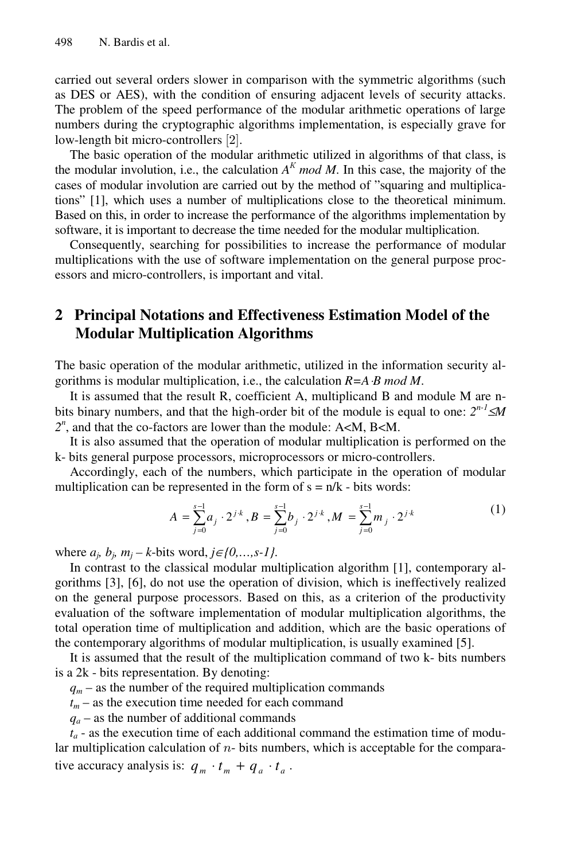carried out several orders slower in comparison with the symmetric algorithms (such as DES or AES), with the condition of ensuring adjacent levels of security attacks. The problem of the speed performance of the modular arithmetic operations of large numbers during the cryptographic algorithms implementation, is especially grave for low-length bit micro-controllers [2].

The basic operation of the modular arithmetic utilized in algorithms of that class, is the modular involution, i.e., the calculation  $A^{K}$  mod M. In this case, the majority of the cases of modular involution are carried out by the method of "squaring and multiplications" [1], which uses a number of multiplications close to the theoretical minimum. Based on this, in order to increase the performance of the algorithms implementation by software, it is important to decrease the time needed for the modular multiplication.

Consequently, searching for possibilities to increase the performance of modular multiplications with the use of software implementation on the general purpose processors and micro-controllers, is important and vital.

### **2 Principal Notations and Effectiveness Estimation Model of the Modular Multiplication Algorithms**

The basic operation of the modular arithmetic, utilized in the information security algorithms is modular multiplication, i.e., the calculation *R=A*⋅*B mod M*.

It is assumed that the result R, coefficient A, multiplicand B and module M are nbits binary numbers, and that the high-order bit of the module is equal to one:  $2^{n-1} \le M$ *2n* , and that the co-factors are lower than the module: A<M, B<M.

It is also assumed that the operation of modular multiplication is performed on the k- bits general purpose processors, microprocessors or micro-controllers.

Accordingly, each of the numbers, which participate in the operation of modular multiplication can be represented in the form of  $s = n/k$  - bits words:

$$
A = \sum_{j=0}^{s-1} a_j \cdot 2^{j \cdot k}, B = \sum_{j=0}^{s-1} b_j \cdot 2^{j \cdot k}, M = \sum_{j=0}^{s-1} m_j \cdot 2^{j \cdot k} \tag{1}
$$

where  $a_i$ ,  $b_i$ ,  $m_i$  – k-bits word,  $j \in \{0, \ldots, s-1\}$ .

In contrast to the classical modular multiplication algorithm [1], contemporary algorithms [3], [6], do not use the operation of division, which is ineffectively realized on the general purpose processors. Based on this, as a criterion of the productivity evaluation of the software implementation of modular multiplication algorithms, the total operation time of multiplication and addition, which are the basic operations of the contemporary algorithms of modular multiplication, is usually examined [5].

It is assumed that the result of the multiplication command of two k- bits numbers is a 2k - bits representation. By denoting:

 $q_m$  – as the number of the required multiplication commands

 $t_m$  – as the execution time needed for each command

 $q_a$  – as the number of additional commands

 $t_a$  - as the execution time of each additional command the estimation time of modular multiplication calculation of  $n$ - bits numbers, which is acceptable for the comparative accuracy analysis is:  $q_m \cdot t_m + q_a \cdot t_a$ .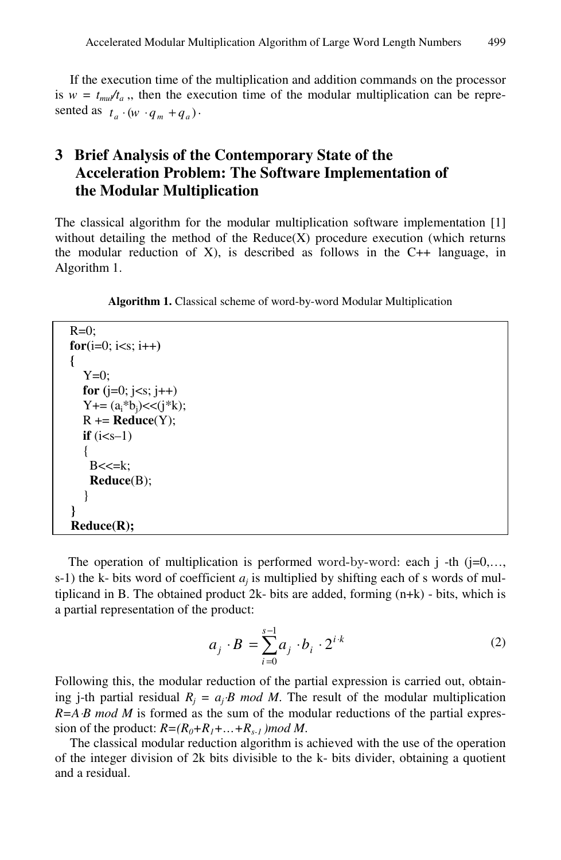If the execution time of the multiplication and addition commands on the processor is  $w = t_{mu}/t_a$ , then the execution time of the modular multiplication can be represented as  $t_a \cdot (w \cdot q_m + q_a)$ .

# **3 Brief Analysis of the Contemporary State of the Acceleration Problem: The Software Implementation of the Modular Multiplication**

The classical algorithm for the modular multiplication software implementation [1] without detailing the method of the  $Reduce(X)$  procedure execution (which returns the modular reduction of  $X$ ), is described as follows in the C++ language, in Algorithm 1.

**Algorithm 1.** Classical scheme of word-by-word Modular Multiplication

```
R=0:
for(i=0; i<s; i++)
{
  Y=0;
   for (j=0; j<s; j++) 
  Y+= (a_i * b_i) < (i * k);R += Reduce(Y);
  if (i < s-1)\{B \ll \ll=k;
     Reduce(B); 
    } 
} 
Reduce(R);
```
The operation of multiplication is performed word-by-word: each  $j$  -th ( $j=0,...,$ s-1) the k- bits word of coefficient  $a_i$  is multiplied by shifting each of s words of multiplicand in B. The obtained product 2k- bits are added, forming (n+k) - bits, which is a partial representation of the product:

$$
a_j \cdot B = \sum_{i=0}^{s-1} a_j \cdot b_i \cdot 2^{i \cdot k} \tag{2}
$$

Following this, the modular reduction of the partial expression is carried out, obtaining j-th partial residual  $R_i = a_i \cdot B \mod M$ . The result of the modular multiplication *R*=*A*⋅*B* mod *M* is formed as the sum of the modular reductions of the partial expression of the product:  $R=(R_0+R_1+\ldots+R_{s-1}) \mod M$ .

The classical modular reduction algorithm is achieved with the use of the operation of the integer division of 2k bits divisible to the k- bits divider, obtaining a quotient and a residual.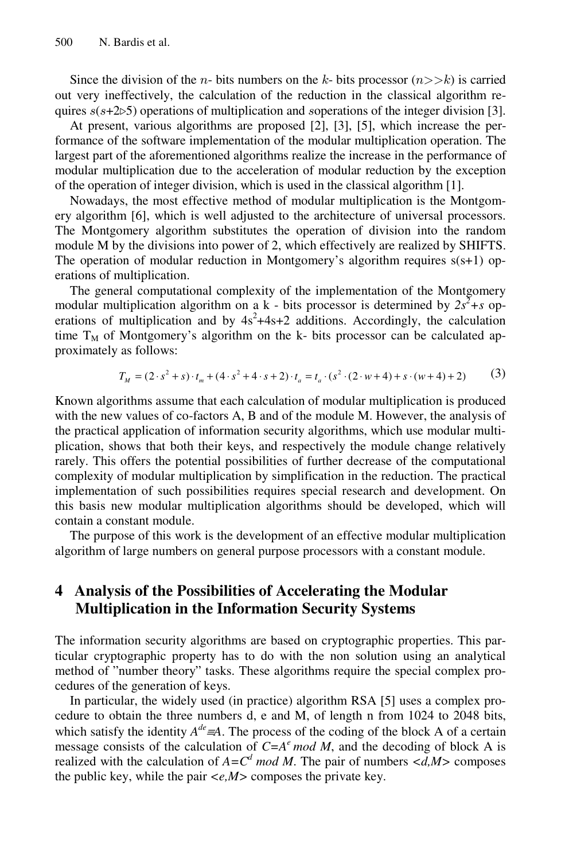Since the division of the *n*- bits numbers on the *k*- bits processor  $(n>>k)$  is carried out very ineffectively, the calculation of the reduction in the classical algorithm requires  $s(s+25)$  operations of multiplication and soperations of the integer division [3].

At present, various algorithms are proposed [2], [3], [5], which increase the performance of the software implementation of the modular multiplication operation. The largest part of the aforementioned algorithms realize the increase in the performance of modular multiplication due to the acceleration of modular reduction by the exception of the operation of integer division, which is used in the classical algorithm [1].

Nowadays, the most effective method of modular multiplication is the Montgomery algorithm [6], which is well adjusted to the architecture of universal processors. The Montgomery algorithm substitutes the operation of division into the random module M by the divisions into power of 2, which effectively are realized by SHIFTS. The operation of modular reduction in Montgomery's algorithm requires  $s(s+1)$  operations of multiplication.

The general computational complexity of the implementation of the Montgomery modular multiplication algorithm on a k - bits processor is determined by  $2s^2 + s$  operations of multiplication and by  $4s^2+4s+2$  additions. Accordingly, the calculation time  $T_M$  of Montgomery's algorithm on the k- bits processor can be calculated approximately as follows:

$$
T_M = (2 \cdot s^2 + s) \cdot t_m + (4 \cdot s^2 + 4 \cdot s + 2) \cdot t_a = t_a \cdot (s^2 \cdot (2 \cdot w + 4) + s \cdot (w + 4) + 2)
$$
 (3)

Known algorithms assume that each calculation of modular multiplication is produced with the new values of co-factors A, B and of the module M. However, the analysis of the practical application of information security algorithms, which use modular multiplication, shows that both their keys, and respectively the module change relatively rarely. This offers the potential possibilities of further decrease of the computational complexity of modular multiplication by simplification in the reduction. The practical implementation of such possibilities requires special research and development. On this basis new modular multiplication algorithms should be developed, which will contain a constant module.

The purpose of this work is the development of an effective modular multiplication algorithm of large numbers on general purpose processors with a constant module.

#### **4 Analysis of the Possibilities of Accelerating the Modular Multiplication in the Information Security Systems**

The information security algorithms are based on cryptographic properties. This particular cryptographic property has to do with the non solution using an analytical method of "number theory" tasks. These algorithms require the special complex procedures of the generation of keys.

In particular, the widely used (in practice) algorithm RSA [5] uses a complex procedure to obtain the three numbers d, e and M, of length n from 1024 to 2048 bits, which satisfy the identity  $A^{de} = A$ . The process of the coding of the block A of a certain message consists of the calculation of  $C=A^e \mod M$ , and the decoding of block A is realized with the calculation of  $A = C^d \mod M$ . The pair of numbers  $\langle d, M \rangle$  composes the public key, while the pair *<e,M>* composes the private key.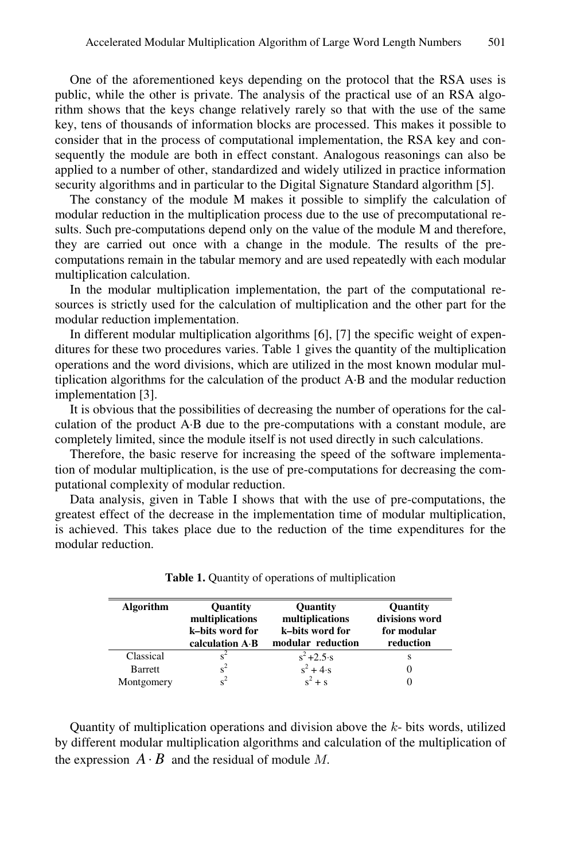One of the aforementioned keys depending on the protocol that the RSA uses is public, while the other is private. The analysis of the practical use of an RSA algorithm shows that the keys change relatively rarely so that with the use of the same key, tens of thousands of information blocks are processed. This makes it possible to consider that in the process of computational implementation, the RSA key and consequently the module are both in effect constant. Analogous reasonings can also be applied to a number of other, standardized and widely utilized in practice information security algorithms and in particular to the Digital Signature Standard algorithm [5].

The constancy of the module M makes it possible to simplify the calculation of modular reduction in the multiplication process due to the use of precomputational results. Such pre-computations depend only on the value of the module M and therefore, they are carried out once with a change in the module. The results of the precomputations remain in the tabular memory and are used repeatedly with each modular multiplication calculation.

In the modular multiplication implementation, the part of the computational resources is strictly used for the calculation of multiplication and the other part for the modular reduction implementation.

In different modular multiplication algorithms [6], [7] the specific weight of expenditures for these two procedures varies. Table 1 gives the quantity of the multiplication operations and the word divisions, which are utilized in the most known modular multiplication algorithms for the calculation of the product A·B and the modular reduction implementation [3].

It is obvious that the possibilities of decreasing the number of operations for the calculation of the product A·B due to the pre-computations with a constant module, are completely limited, since the module itself is not used directly in such calculations.

Therefore, the basic reserve for increasing the speed of the software implementation of modular multiplication, is the use of pre-computations for decreasing the computational complexity of modular reduction.

Data analysis, given in Table I shows that with the use of pre-computations, the greatest effect of the decrease in the implementation time of modular multiplication, is achieved. This takes place due to the reduction of the time expenditures for the modular reduction.

| <b>Algorithm</b> | Quantity<br>multiplications<br>k-bits word for<br>calculation A-B | Quantity<br>multiplications<br>k-bits word for<br>modular reduction | Quantity<br>divisions word<br>for modular<br>reduction |
|------------------|-------------------------------------------------------------------|---------------------------------------------------------------------|--------------------------------------------------------|
| Classical        |                                                                   | $s^2 + 2.5 \cdot s$                                                 | s                                                      |
| <b>Barrett</b>   | $s^2$                                                             | $s^2 + 4 \cdot s$                                                   |                                                        |
| Montgomery       | $s^2$                                                             | $s^2 + s$                                                           |                                                        |

**Table 1.** Quantity of operations of multiplication

Quantity of multiplication operations and division above the  $k$ - bits words, utilized by different modular multiplication algorithms and calculation of the multiplication of the expression  $A \cdot B$  and the residual of module M.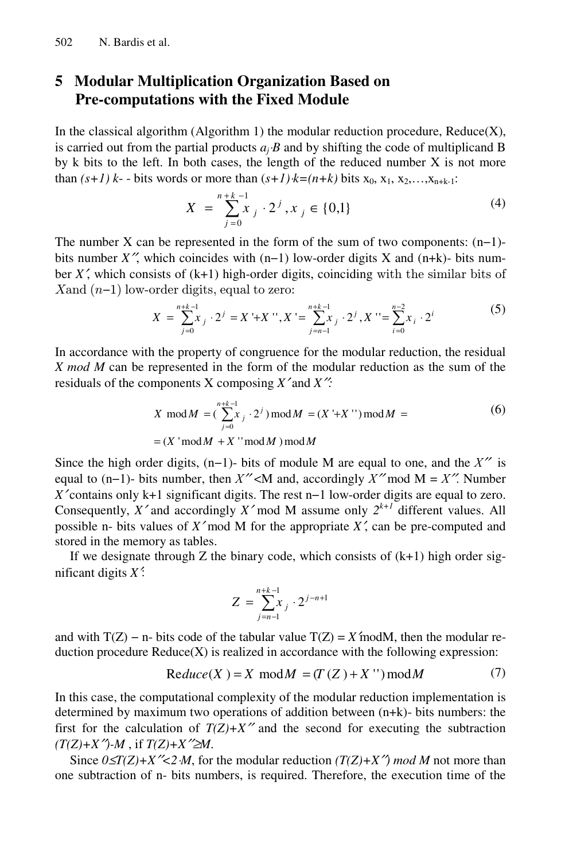## **5 Modular Multiplication Organization Based on Pre-computations with the Fixed Module**

In the classical algorithm (Algorithm 1) the modular reduction procedure,  $Reduce(X)$ , is carried out from the partial products  $a_i$ ⋅*B* and by shifting the code of multiplicand B by k bits to the left. In both cases, the length of the reduced number X is not more than  $(s+1)$  *k*- - bits words or more than  $(s+1)$ ⋅*k*=(*n*+*k*) bits  $x_0, x_1, x_2,...,x_{n+k-1}$ :

$$
X = \sum_{j=0}^{n+k-1} x_j \cdot 2^j, x_j \in \{0,1\}
$$
 (4)

The number X can be represented in the form of the sum of two components: (n−1) bits number *X*′′, which coincides with (n−1) low-order digits X and (n+k)- bits number  $X'$ , which consists of  $(k+1)$  high-order digits, coinciding with the similar bits of Xand  $(n-1)$  low-order digits, equal to zero:

$$
X = \sum_{j=0}^{n+k-1} x_j \cdot 2^j = X' + X''', X' = \sum_{j=n-1}^{n+k-1} x_j \cdot 2^j, X'' = \sum_{i=0}^{n-2} x_i \cdot 2^i
$$
 (5)

In accordance with the property of congruence for the modular reduction, the residual *X mod M* can be represented in the form of the modular reduction as the sum of the residuals of the components X composing *X*′ and *X*′′*:*

$$
X \mod M = (\sum_{j=0}^{n+k-1} x_j \cdot 2^j) \mod M = (X' + X'') \mod M =
$$
  
= (X' mod M + X'' mod M) mod M (6)

Since the high order digits,  $(n-1)$ - bits of module M are equal to one, and the *X<sup>''*</sup> is equal to (n−1)- bits number, then *Х*′′ <M and, accordingly *Х*′′ mod M = *Х*′′. Number *X*<sup> $\prime$ </sup> contains only k+1 significant digits. The rest n–1 low-order digits are equal to zero. Consequently,  $X'$  and accordingly  $X'$  mod M assume only  $2^{k+1}$  different values. All possible n- bits values of *X*′ mod M for the appropriate *X*′, can be pre-computed and stored in the memory as tables.

If we designate through Z the binary code, which consists of  $(k+1)$  high order significant digits *X*′:

$$
Z = \sum_{j=n-1}^{n+k-1} x_j \cdot 2^{j-n+1}
$$

and with  $T(Z) - n$ - bits code of the tabular value  $T(Z) = X'$  mod $M$ , then the modular reduction procedure  $Reduce(X)$  is realized in accordance with the following expression:

$$
Reduce(X) = X \mod M = (T(Z) + X'') \mod M \tag{7}
$$

In this case, the computational complexity of the modular reduction implementation is determined by maximum two operations of addition between (n+k)- bits numbers: the first for the calculation of  $T(Z) + X''$  and the second for executing the subtraction  $(T(Z) + X'') - M$ , if  $T(Z) + X'' \geq M$ .

Since  $0 \leq T(Z) + X'' < 2 M$ , for the modular reduction  $(T(Z) + X'')$  mod M not more than one subtraction of n- bits numbers, is required. Therefore, the execution time of the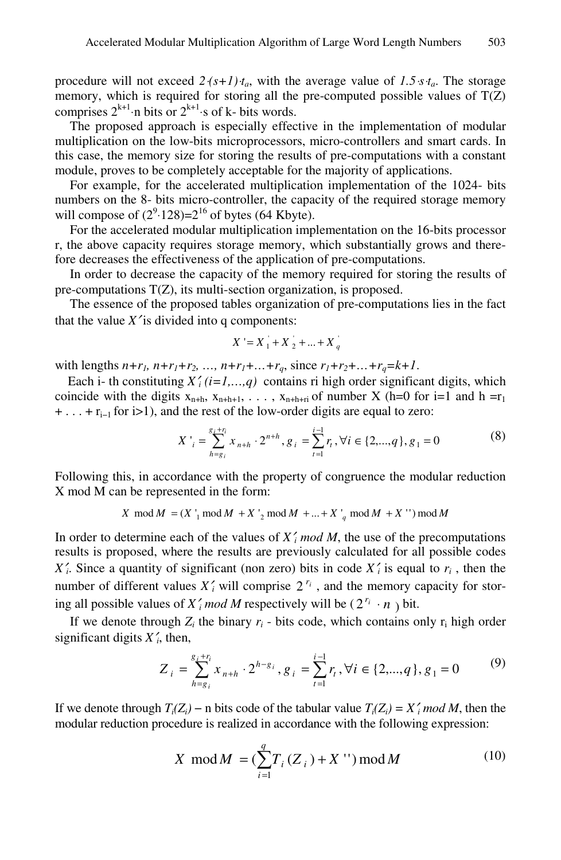procedure will not exceed  $2 \cdot (s+1) \cdot t_a$ , with the average value of  $1.5 \cdot s \cdot t_a$ . The storage memory, which is required for storing all the pre-computed possible values of T(Z) comprises  $2^{k+1}$ ⋅n bits or  $2^{k+1}$ ⋅s of k- bits words.

The proposed approach is especially effective in the implementation of modular multiplication on the low-bits microprocessors, micro-controllers and smart cards. In this case, the memory size for storing the results of pre-computations with a constant module, proves to be completely acceptable for the majority of applications.

For example, for the accelerated multiplication implementation of the 1024- bits numbers on the 8- bits micro-controller, the capacity of the required storage memory will compose of  $(2^9.128)=2^{16}$  of bytes (64 Kbyte).

For the accelerated modular multiplication implementation on the 16-bits processor r, the above capacity requires storage memory, which substantially grows and therefore decreases the effectiveness of the application of pre-computations.

In order to decrease the capacity of the memory required for storing the results of pre-computations T(Z), its multi-section organization, is proposed.

The essence of the proposed tables organization of pre-computations lies in the fact that the value  $X'$  is divided into q components:

$$
X' = X_1 + X_2 + \dots + X_q
$$

with lengths  $n+r_1$ ,  $n+r_1+r_2$ , ...,  $n+r_1+\ldots+r_q$ , since  $r_1+r_2+\ldots+r_q=k+1$ .

Each i- th constituting  $X'_{i}$  (*i*=1,...,*q*) contains ri high order significant digits, which coincide with the digits  $x_{n+h}$ ,  $x_{n+h+1}$ , ...,  $x_{n+h+1}$  of number X (h=0 for i=1 and h =r<sub>1</sub> + . . . + r<sub>i−1</sub> for i>1), and the rest of the low-order digits are equal to zero:

$$
X'_{i} = \sum_{h=g_{i}}^{g_{i}+r_{i}} x_{n+h} \cdot 2^{n+h}, g_{i} = \sum_{t=1}^{i-1} r_{t}, \forall i \in \{2,...,q\}, g_{1} = 0
$$
 (8)

Following this, in accordance with the property of congruence the modular reduction X mod M can be represented in the form:

*X* mod *M* = (*X* <sup>1</sup><sub>1</sub> mod *M* + *X* <sup>1</sup><sub>2</sub> mod *M* + ... + *X* <sup>1</sup><sub>q</sub> mod *M* + *X* <sup>1</sup>') mod *M* 

In order to determine each of the values of *X*′*i mod M*, the use of the precomputations results is proposed, where the results are previously calculated for all possible codes  $X'$ <sup>*i*</sup>. Since a quantity of significant (non zero) bits in code  $X'$ <sup>*i*</sup> is equal to  $r$ <sup>*i*</sup>, then the number of different values  $X'_{i}$  will comprise  $2^{r_i}$ , and the memory capacity for storing all possible values of  $X'$ *i mod M* respectively will be  $(2^{r_i} \cdot n)$  bit.

If we denote through  $Z_i$  the binary  $r_i$  - bits code, which contains only  $r_i$  high order significant digits *X*′*i*, then,

$$
Z_{i} = \sum_{h=g_{i}}^{g_{i}+r_{i}} x_{n+h} \cdot 2^{h-g_{i}}, g_{i} = \sum_{t=1}^{i-1} r_{t}, \forall i \in \{2,...,q\}, g_{1} = 0
$$
 (9)

If we denote through  $T_i(Z_i)$  – n bits code of the tabular value  $T_i(Z_i) = X_i' \mod M$ , then the modular reduction procedure is realized in accordance with the following expression:

$$
X \mod M = (\sum_{i=1}^{q} T_i (Z_i) + X'') \mod M \tag{10}
$$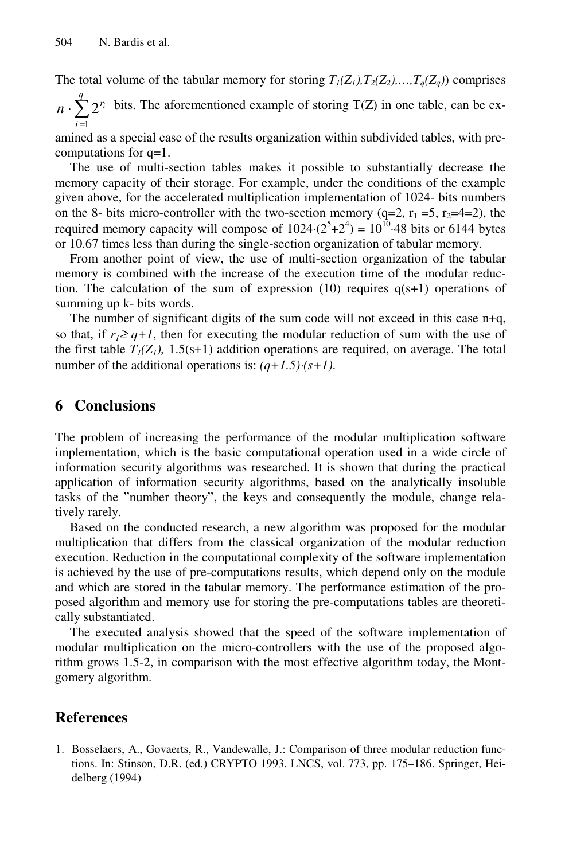The total volume of the tabular memory for storing  $T_1(Z_1), T_2(Z_2), \ldots, T_q(Z_q)$  comprises ∑ ⋅  $n \cdot \sum_{n=1}^{q} 2^{r_i}$  bits. The aforementioned example of storing T(Z) in one table, can be ex-

= *i* 1 amined as a special case of the results organization within subdivided tables, with precomputations for q=1.

The use of multi-section tables makes it possible to substantially decrease the memory capacity of their storage. For example, under the conditions of the example given above, for the accelerated multiplication implementation of 1024- bits numbers on the 8- bits micro-controller with the two-section memory (q=2,  $r_1 = 5$ ,  $r_2 = 4 = 2$ ), the required memory capacity will compose of  $1024 \cdot (2^5 + 2^4) = 10^{10} \cdot 48$  bits or 6144 bytes or 10.67 times less than during the single-section organization of tabular memory.

From another point of view, the use of multi-section organization of the tabular memory is combined with the increase of the execution time of the modular reduction. The calculation of the sum of expression  $(10)$  requires  $q(s+1)$  operations of summing up k- bits words.

The number of significant digits of the sum code will not exceed in this case n+q, so that, if  $r_1 \geq q+1$ , then for executing the modular reduction of sum with the use of the first table  $T_1(Z_1)$ , 1.5(s+1) addition operations are required, on average. The total number of the additional operations is: *(q+1.5)*⋅*(s+1)*.

#### **6 Conclusions**

The problem of increasing the performance of the modular multiplication software implementation, which is the basic computational operation used in a wide circle of information security algorithms was researched. It is shown that during the practical application of information security algorithms, based on the analytically insoluble tasks of the "number theory", the keys and consequently the module, change relatively rarely.

Based on the conducted research, a new algorithm was proposed for the modular multiplication that differs from the classical organization of the modular reduction execution. Reduction in the computational complexity of the software implementation is achieved by the use of pre-computations results, which depend only on the module and which are stored in the tabular memory. The performance estimation of the proposed algorithm and memory use for storing the pre-computations tables are theoretically substantiated.

The executed analysis showed that the speed of the software implementation of modular multiplication on the micro-controllers with the use of the proposed algorithm grows 1.5-2, in comparison with the most effective algorithm today, the Montgomery algorithm.

#### **References**

1. Bosselaers, A., Govaerts, R., Vandewalle, J.: Comparison of three modular reduction functions. In: Stinson, D.R. (ed.) CRYPTO 1993. LNCS, vol. 773, pp. 175–186. Springer, Heidelberg (1994)